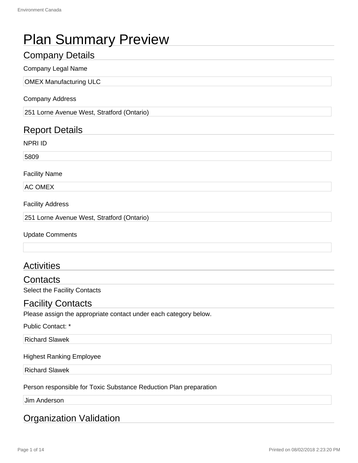# Plan Summary Preview

### Company Details

#### Company Legal Name

#### OMEX Manufacturing ULC

#### Company Address

251 Lorne Avenue West, Stratford (Ontario)

### Report Details

NPRI ID

5809

#### Facility Name

AC OMEX

#### Facility Address

251 Lorne Avenue West, Stratford (Ontario)

Update Comments

### **Activities**

**Contacts** Select the Facility Contacts

#### Facility Contacts

Please assign the appropriate contact under each category below.

Public Contact: \*

#### Richard Slawek

#### Highest Ranking Employee

Richard Slawek

Person responsible for Toxic Substance Reduction Plan preparation

Jim Anderson

### Organization Validation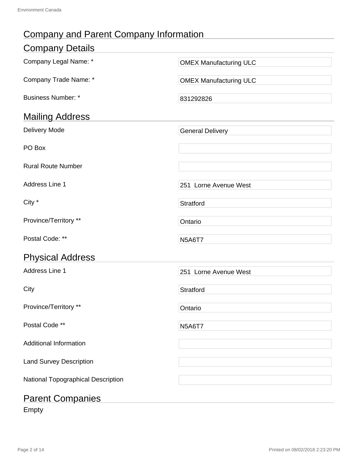# Company and Parent Company Information

| <b>Company Details</b>             |                               |
|------------------------------------|-------------------------------|
| Company Legal Name: *              | <b>OMEX Manufacturing ULC</b> |
| Company Trade Name: *              | <b>OMEX Manufacturing ULC</b> |
| <b>Business Number: *</b>          | 831292826                     |
| <b>Mailing Address</b>             |                               |
| <b>Delivery Mode</b>               | <b>General Delivery</b>       |
| PO Box                             |                               |
| <b>Rural Route Number</b>          |                               |
| Address Line 1                     | 251 Lorne Avenue West         |
| City *                             | Stratford                     |
| Province/Territory **              | Ontario                       |
| Postal Code: **                    | <b>N5A6T7</b>                 |
| <b>Physical Address</b>            |                               |
| Address Line 1                     | 251 Lorne Avenue West         |
| City                               | Stratford                     |
| Province/Territory **              | Ontario                       |
| Postal Code **                     | <b>N5A6T7</b>                 |
| <b>Additional Information</b>      |                               |
| <b>Land Survey Description</b>     |                               |
| National Topographical Description |                               |
| <b>Parent Companies</b>            |                               |

Empty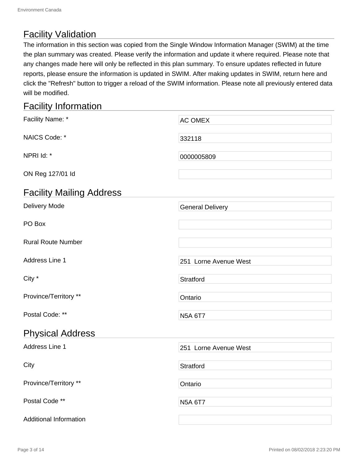# Facility Validation

The information in this section was copied from the Single Window Information Manager (SWIM) at the time the plan summary was created. Please verify the information and update it where required. Please note that any changes made here will only be reflected in this plan summary. To ensure updates reflected in future reports, please ensure the information is updated in SWIM. After making updates in SWIM, return here and click the "Refresh" button to trigger a reload of the SWIM information. Please note all previously entered data will be modified.

# Facility Information

| Facility Name: *                | <b>AC OMEX</b>          |
|---------------------------------|-------------------------|
| NAICS Code: *                   | 332118                  |
| NPRI Id: *                      | 0000005809              |
| ON Reg 127/01 ld                |                         |
| <b>Facility Mailing Address</b> |                         |
| Delivery Mode                   | <b>General Delivery</b> |
| PO Box                          |                         |
| <b>Rural Route Number</b>       |                         |
| Address Line 1                  | 251 Lorne Avenue West   |
| City *                          | Stratford               |
| Province/Territory **           | Ontario                 |
| Postal Code: **                 | <b>N5A 6T7</b>          |
| <b>Physical Address</b>         |                         |
| Address Line 1                  | 251 Lorne Avenue West   |
| City                            | <b>Stratford</b>        |
| Province/Territory **           | Ontario                 |
| Postal Code **                  | <b>N5A 6T7</b>          |
| Additional Information          |                         |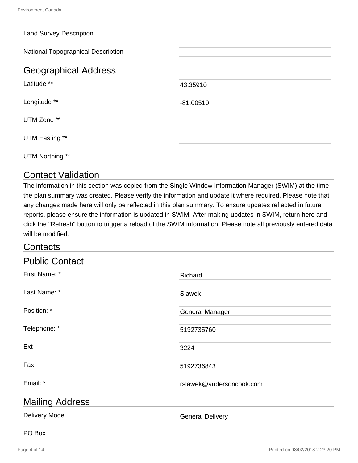#### Land Survey Description

National Topographical Description

### Geographical Address

| Latitude **     | 43.35910    |
|-----------------|-------------|
| Longitude **    | $-81.00510$ |
| UTM Zone **     |             |
| UTM Easting **  |             |
| UTM Northing ** |             |

### Contact Validation

The information in this section was copied from the Single Window Information Manager (SWIM) at the time the plan summary was created. Please verify the information and update it where required. Please note that any changes made here will only be reflected in this plan summary. To ensure updates reflected in future reports, please ensure the information is updated in SWIM. After making updates in SWIM, return here and click the "Refresh" button to trigger a reload of the SWIM information. Please note all previously entered data will be modified.

#### **Contacts**

| <b>Public Contact</b>  |                          |
|------------------------|--------------------------|
| First Name: *          | Richard                  |
| Last Name: *           | Slawek                   |
| Position: *            | <b>General Manager</b>   |
| Telephone: *           | 5192735760               |
| Ext                    | 3224                     |
| Fax                    | 5192736843               |
| Email: *               | rslawek@andersoncook.com |
| <b>Mailing Address</b> |                          |

Delivery Mode **General Delivery** 

# PO Box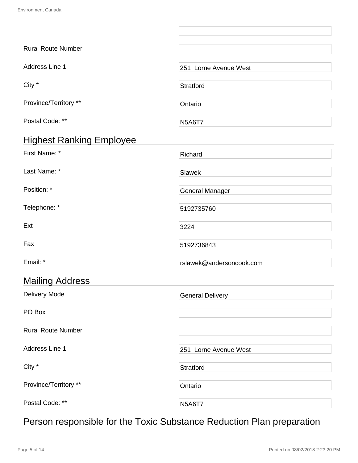| <b>Rural Route Number</b>       |                          |
|---------------------------------|--------------------------|
| Address Line 1                  | 251 Lorne Avenue West    |
| City *                          | <b>Stratford</b>         |
| Province/Territory **           | Ontario                  |
| Postal Code: **                 | <b>N5A6T7</b>            |
| <b>Highest Ranking Employee</b> |                          |
| First Name: *                   | Richard                  |
| Last Name: *                    | Slawek                   |
| Position: *                     | <b>General Manager</b>   |
| Telephone: *                    | 5192735760               |
| Ext                             | 3224                     |
| Fax                             | 5192736843               |
| Email: *                        | rslawek@andersoncook.com |
| <b>Mailing Address</b>          |                          |
| Delivery Mode                   | <b>General Delivery</b>  |
| PO Box                          |                          |
| <b>Rural Route Number</b>       |                          |
| Address Line 1                  | 251 Lorne Avenue West    |
| City *                          | Stratford                |
| Province/Territory **           | Ontario                  |
| Postal Code: **                 | <b>N5A6T7</b>            |

# Person responsible for the Toxic Substance Reduction Plan preparation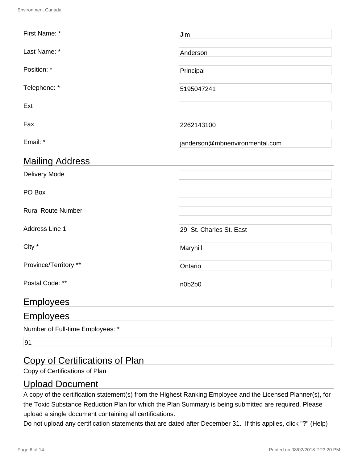| First Name: *             | Jim                            |
|---------------------------|--------------------------------|
| Last Name: *              | Anderson                       |
| Position: *               | Principal                      |
| Telephone: *              | 5195047241                     |
| Ext                       |                                |
| Fax                       | 2262143100                     |
| Email: *                  | janderson@mbnenvironmental.com |
| <b>Mailing Address</b>    |                                |
| Delivery Mode             |                                |
| PO Box                    |                                |
| <b>Rural Route Number</b> |                                |
| Address Line 1            | 29 St. Charles St. East        |
| City *                    | Maryhill                       |
| Province/Territory **     | Ontario                        |
| Postal Code: **           | n0b2b0                         |
| <b>Employees</b>          |                                |
|                           |                                |

### **Employees**

Number of Full-time Employees: \*

91

# Copy of Certifications of Plan

Copy of Certifications of Plan

### Upload Document

A copy of the certification statement(s) from the Highest Ranking Employee and the Licensed Planner(s), for the Toxic Substance Reduction Plan for which the Plan Summary is being submitted are required. Please upload a single document containing all certifications.

Do not upload any certification statements that are dated after December 31. If this applies, click "?" (Help)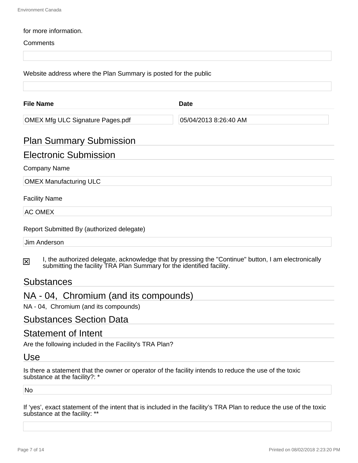| for more information. |  |
|-----------------------|--|
|-----------------------|--|

#### **Comments**

#### Website address where the Plan Summary is posted for the public

**File Name Date** OMEX Mfg ULC Signature Pages.pdf 05/04/2013 8:26:40 AM

## Plan Summary Submission

#### Electronic Submission

Company Name

OMEX Manufacturing ULC

#### Facility Name

AC OMEX

#### Report Submitted By (authorized delegate)

| Jim Anderson |  |
|--------------|--|
|--------------|--|

I, the authorized delegate, acknowledge that by pressing the "Continue" button, I am electronically 冈 submitting the facility TRA Plan Summary for the identified facility.

### Substances

#### NA - 04, Chromium (and its compounds)

NA - 04, Chromium (and its compounds)

#### Substances Section Data

#### Statement of Intent

Are the following included in the Facility's TRA Plan?

#### Use

Is there a statement that the owner or operator of the facility intends to reduce the use of the toxic substance at the facility?: \*

No

If 'yes', exact statement of the intent that is included in the facility's TRA Plan to reduce the use of the toxic substance at the facility: \*\*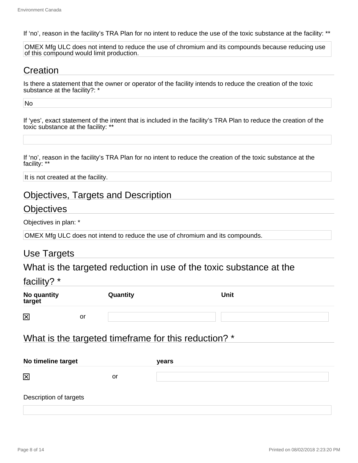If 'no', reason in the facility's TRA Plan for no intent to reduce the use of the toxic substance at the facility: \*\*

OMEX Mfg ULC does not intend to reduce the use of chromium and its compounds because reducing use of this compound would limit production.

### Creation

Is there a statement that the owner or operator of the facility intends to reduce the creation of the toxic substance at the facility?: \*

No

If 'yes', exact statement of the intent that is included in the facility's TRA Plan to reduce the creation of the toxic substance at the facility: \*\*

If 'no', reason in the facility's TRA Plan for no intent to reduce the creation of the toxic substance at the facility: \*\*

It is not created at the facility.

### Objectives, Targets and Description

### **Objectives**

Objectives in plan: \*

OMEX Mfg ULC does not intend to reduce the use of chromium and its compounds.

### Use Targets

#### What is the targeted reduction in use of the toxic substance at the

#### facility? \*

| No quantity<br>target |    | Quantity | Unit |
|-----------------------|----|----------|------|
| 区                     | or |          |      |

### What is the targeted timeframe for this reduction? \*

| No timeline target     |    | years |  |
|------------------------|----|-------|--|
| 区                      | or |       |  |
| Description of targets |    |       |  |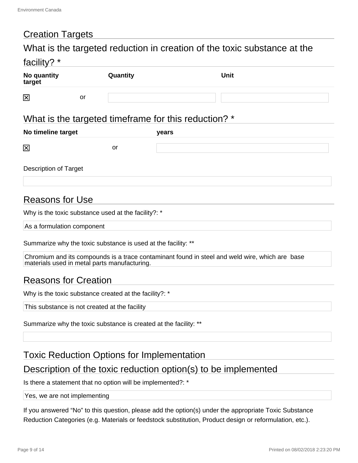# Creation Targets

# What is the targeted reduction in creation of the toxic substance at the

### facility? \*

| No quantity<br>target |    | Quantity | <b>Unit</b> |
|-----------------------|----|----------|-------------|
| 区                     | or |          |             |

# What is the targeted timeframe for this reduction? \*

| No timeline target |    | vears |  |
|--------------------|----|-------|--|
| 区                  | or |       |  |

Description of Target

# Reasons for Use

Why is the toxic substance used at the facility?: \*

As a formulation component

Summarize why the toxic substance is used at the facility: \*\*

Chromium and its compounds is a trace contaminant found in steel and weld wire, which are base materials used in metal parts manufacturing.

# Reasons for Creation

Why is the toxic substance created at the facility?: \*

This substance is not created at the facility

Summarize why the toxic substance is created at the facility: \*\*

# Toxic Reduction Options for Implementation

# Description of the toxic reduction option(s) to be implemented

Is there a statement that no option will be implemented?: \*

#### Yes, we are not implementing

If you answered "No" to this question, please add the option(s) under the appropriate Toxic Substance Reduction Categories (e.g. Materials or feedstock substitution, Product design or reformulation, etc.).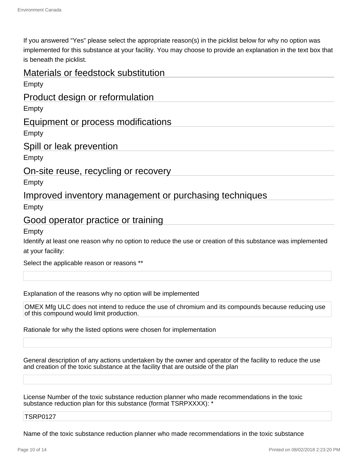If you answered "Yes" please select the appropriate reason(s) in the picklist below for why no option was implemented for this substance at your facility. You may choose to provide an explanation in the text box that is beneath the picklist.

| Materials or feedstock substitution                                                                                             |
|---------------------------------------------------------------------------------------------------------------------------------|
| Empty                                                                                                                           |
| Product design or reformulation                                                                                                 |
| Empty                                                                                                                           |
| Equipment or process modifications                                                                                              |
| Empty                                                                                                                           |
| Spill or leak prevention                                                                                                        |
| Empty                                                                                                                           |
| On-site reuse, recycling or recovery<br>Empty                                                                                   |
| Improved inventory management or purchasing techniques<br>Empty                                                                 |
| Good operator practice or training                                                                                              |
| Empty                                                                                                                           |
| Identify at least one reason why no option to reduce the use or creation of this substance was implemented<br>at your facility: |
| Select the applicable reason or reasons **                                                                                      |

Explanation of the reasons why no option will be implemented

OMEX Mfg ULC does not intend to reduce the use of chromium and its compounds because reducing use of this compound would limit production.

Rationale for why the listed options were chosen for implementation

General description of any actions undertaken by the owner and operator of the facility to reduce the use and creation of the toxic substance at the facility that are outside of the plan

License Number of the toxic substance reduction planner who made recommendations in the toxic substance reduction plan for this substance (format TSRPXXXX): \*

TSRP0127

Name of the toxic substance reduction planner who made recommendations in the toxic substance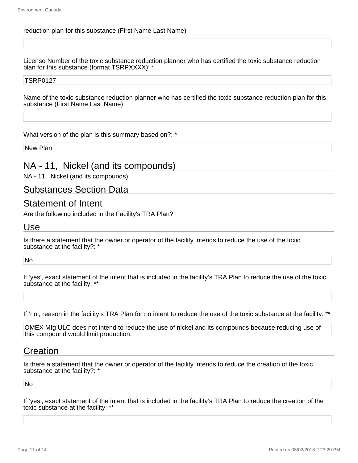#### reduction plan for this substance (First Name Last Name)

License Number of the toxic substance reduction planner who has certified the toxic substance reduction plan for this substance (format TSRPXXXX): \*

#### TSRP0127

Name of the toxic substance reduction planner who has certified the toxic substance reduction plan for this substance (First Name Last Name)

What version of the plan is this summary based on?: \*

New Plan

#### NA - 11, Nickel (and its compounds)

NA - 11, Nickel (and its compounds)

#### Substances Section Data

#### Statement of Intent

Are the following included in the Facility's TRA Plan?

#### Use

Is there a statement that the owner or operator of the facility intends to reduce the use of the toxic substance at the facility?: \*

No

If 'yes', exact statement of the intent that is included in the facility's TRA Plan to reduce the use of the toxic substance at the facility: \*\*

If 'no', reason in the facility's TRA Plan for no intent to reduce the use of the toxic substance at the facility: \*\*

OMEX Mfg ULC does not intend to reduce the use of nickel and its compounds because reducing use of this compound would limit production.

#### **Creation**

Is there a statement that the owner or operator of the facility intends to reduce the creation of the toxic substance at the facility?: \*

No

If 'yes', exact statement of the intent that is included in the facility's TRA Plan to reduce the creation of the toxic substance at the facility: \*\*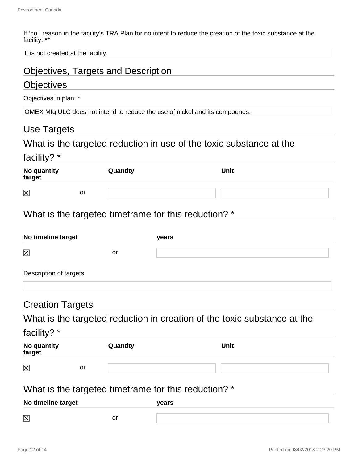If 'no', reason in the facility's TRA Plan for no intent to reduce the creation of the toxic substance at the facility: \*\*

It is not created at the facility.

# Objectives, Targets and Description

### **Objectives**

Objectives in plan: \*

OMEX Mfg ULC does not intend to reduce the use of nickel and its compounds.

### Use Targets

### What is the targeted reduction in use of the toxic substance at the

#### facility? \*

| No quantity<br>target |    | Quantity | <b>Unit</b> |
|-----------------------|----|----------|-------------|
| 冈                     | or |          |             |

# What is the targeted timeframe for this reduction? \*

| No timeline target     |    | years |
|------------------------|----|-------|
| 区                      | or |       |
| Description of targets |    |       |

### Creation Targets

# What is the targeted reduction in creation of the toxic substance at the

| СШЕ<br>┑ |
|----------|
|----------|

| No quantity<br>target |    | Quantity | <b>Unit</b> |
|-----------------------|----|----------|-------------|
| $\boxtimes$           | or |          |             |

### What is the targeted timeframe for this reduction? \*

| No timeline target |    | <b>vears</b> |
|--------------------|----|--------------|
| 区                  | or |              |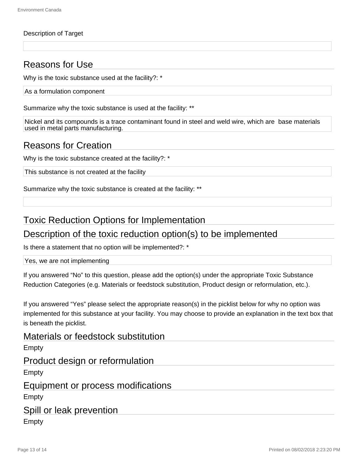#### Description of Target

# Reasons for Use

Why is the toxic substance used at the facility?: \*

As a formulation component

Summarize why the toxic substance is used at the facility: \*\*

Nickel and its compounds is a trace contaminant found in steel and weld wire, which are base materials used in metal parts manufacturing.

# Reasons for Creation

Why is the toxic substance created at the facility?: \*

This substance is not created at the facility

Summarize why the toxic substance is created at the facility: \*\*

### Toxic Reduction Options for Implementation

# Description of the toxic reduction option(s) to be implemented

Is there a statement that no option will be implemented?: \*

Yes, we are not implementing

If you answered "No" to this question, please add the option(s) under the appropriate Toxic Substance Reduction Categories (e.g. Materials or feedstock substitution, Product design or reformulation, etc.).

If you answered "Yes" please select the appropriate reason(s) in the picklist below for why no option was implemented for this substance at your facility. You may choose to provide an explanation in the text box that is beneath the picklist.

# Materials or feedstock substitution Empty Product design or reformulation Empty Equipment or process modifications Empty Spill or leak prevention Empty